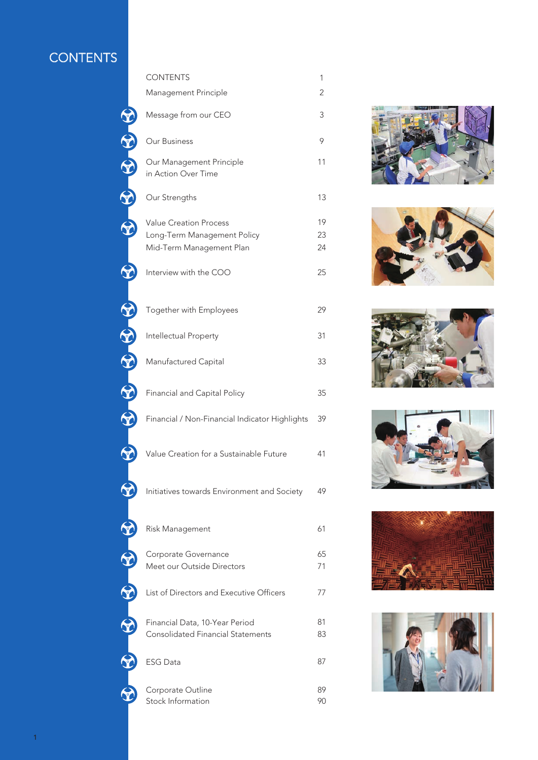# **CONTENTS**

|                      | <b>CONTENTS</b>                                                                          | 1              |
|----------------------|------------------------------------------------------------------------------------------|----------------|
|                      | Management Principle                                                                     | 2              |
|                      | Message from our CEO                                                                     | 3              |
|                      | Our Business                                                                             | 9              |
| $-40 - 40 - 40 - 40$ | Our Management Principle<br>in Action Over Time                                          | 11             |
|                      | Our Strengths                                                                            | 13             |
|                      | <b>Value Creation Process</b><br>Long-Term Management Policy<br>Mid-Term Management Plan | 19<br>23<br>24 |
|                      | Interview with the COO                                                                   | 25             |
| S                    | Together with Employees                                                                  | 29             |
|                      | Intellectual Property                                                                    | 31             |
| <b>ROLL COLLECT</b>  | Manufactured Capital                                                                     | 33             |
| <u>S</u>             | Financial and Capital Policy                                                             | 35             |
|                      | Financial / Non-Financial Indicator Highlights                                           | 39             |
|                      | Value Creation for a Sustainable Future                                                  | 41             |
|                      | Initiatives towards Environment and Society                                              | 49             |
|                      | Risk Management                                                                          | 61             |
|                      | Corporate Governance<br>Meet our Outside Directors                                       | 65<br>71       |
|                      | List of Directors and Executive Officers                                                 | 77             |
|                      | Financial Data, 10-Year Period<br><b>Consolidated Financial Statements</b>               | 81<br>83       |
|                      | <b>ESG Data</b>                                                                          | 87             |
|                      | Corporate Outline<br>Stock Information                                                   | 89<br>90       |